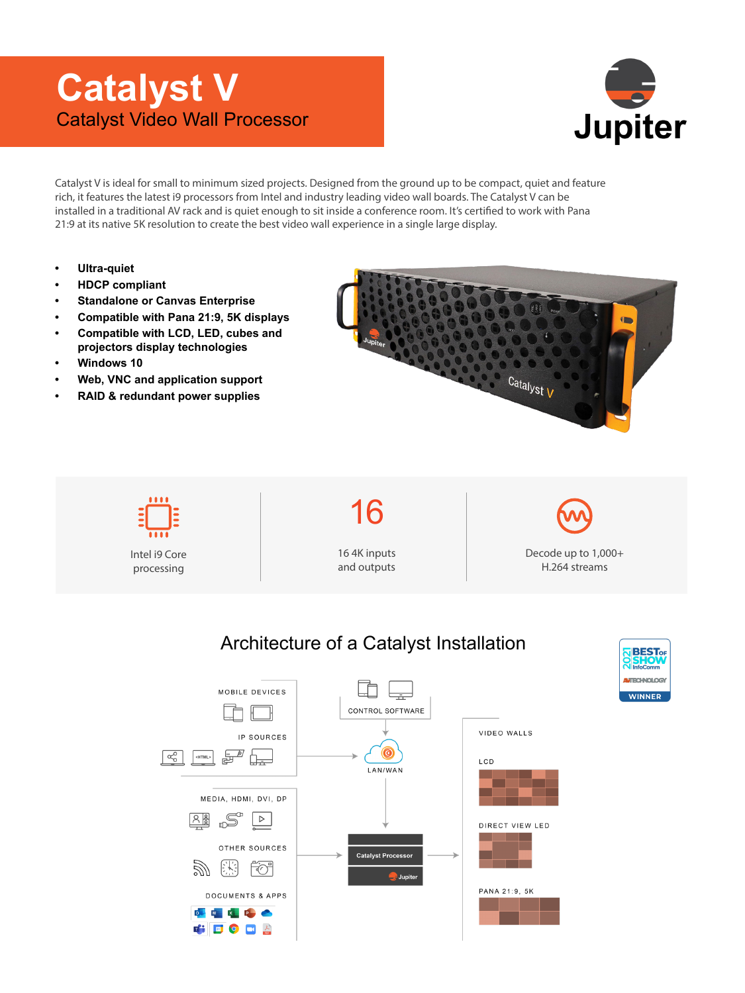## **Catalyst V** Catalyst Video Wall Processor



**WINNER** 

Catalyst V is ideal for small to minimum sized projects. Designed from the ground up to be compact, quiet and feature rich, it features the latest i9 processors from Intel and industry leading video wall boards. The Catalyst V can be installed in a traditional AV rack and is quiet enough to sit inside a conference room. It's certified to work with Pana 21:9 at its native 5K resolution to create the best video wall experience in a single large display.

- **• Ultra-quiet**
- **HDCP compliant**
- **Standalone or Canvas Enterprise**
- **Compatible with Pana 21:9, 5K displays**
- **Compatible with LCD, LED, cubes and projectors display technologies**
- **Windows 10**
- **Web, VNC and application support**
- **RAID & redundant power supplies**



16 16 4K inputs Decode up to 1,000+ Intel i9 Core and outputs H.264 streams processingArchitecture of a Catalyst Installation **BEST**<sub>OF</sub>